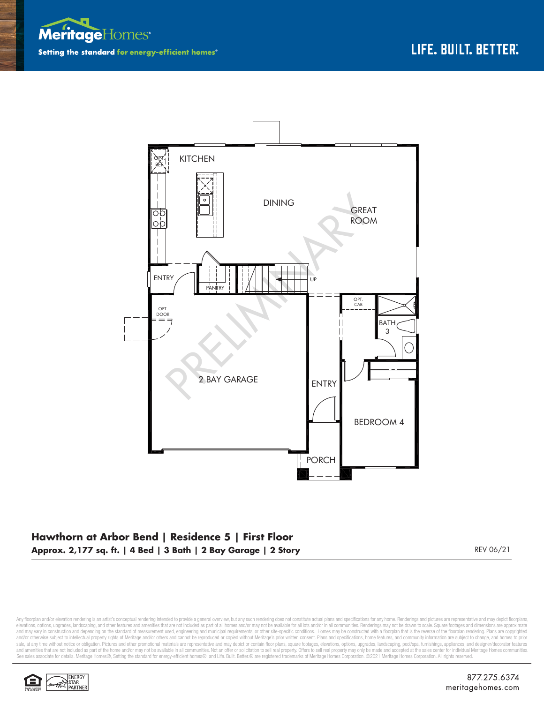



## **Hawthorn at Arbor Bend | Residence 5 | First Floor Approx. 2,177 sq. ft. | 4 Bed | 3 Bath | 2 Bay Garage | 2 Story** REV 06/21

Any floorplan and/or elevation rendering is an artist's conceptual rendering intended to provide a general overview, but any such rendering does not constitute actual plans and specifications for any home. Renderings and p elevations, options, upgrades, landscaping, and other features and amenities that are not included as part of all homes and/or may not be available for all lots and/or in all communities. Renderings may not be drawn to sca and may vary in construction and depending on the standard of measurement used, engineering and municipal requirements, or other site-specific conditions. Homes may be constructed with a floorplan that is the reverse of th sale, at any time without notice or obligation. Pictures and other promotional materials are representative and may depict or contain floor plans, square footages, elevations, options, upgrades, landscaping, pool/spa, furn and amenities that are not included as part of the home and/or may not be available in all communities. Not an offer or solicitation to sell real property. Offers to sell real property may only be made and accepted at the